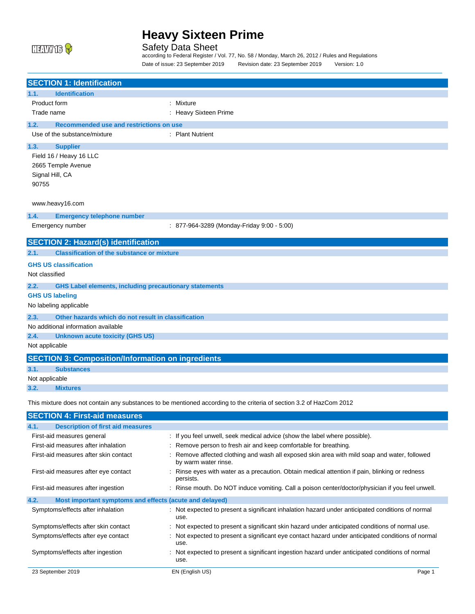

Safety Data Sheet

according to Federal Register / Vol. 77, No. 58 / Monday, March 26, 2012 / Rules and Regulations Date of issue: 23 September 2019 Revision date: 23 September 2019 Version: 1.0

| <b>SECTION 1: Identification</b>                                      |                                            |
|-----------------------------------------------------------------------|--------------------------------------------|
| <b>Identification</b><br>1.1.                                         |                                            |
| Product form                                                          | : Mixture                                  |
| Trade name                                                            | : Heavy Sixteen Prime                      |
| Recommended use and restrictions on use<br>1.2.                       |                                            |
| Use of the substance/mixture                                          | : Plant Nutrient                           |
| 1.3.<br><b>Supplier</b>                                               |                                            |
| Field 16 / Heavy 16 LLC                                               |                                            |
| 2665 Temple Avenue                                                    |                                            |
| Signal Hill, CA                                                       |                                            |
| 90755                                                                 |                                            |
|                                                                       |                                            |
| www.heavy16.com                                                       |                                            |
| 1.4.<br><b>Emergency telephone number</b>                             |                                            |
| Emergency number                                                      | : 877-964-3289 (Monday-Friday 9:00 - 5:00) |
| <b>SECTION 2: Hazard(s) identification</b>                            |                                            |
|                                                                       |                                            |
| <b>Classification of the substance or mixture</b><br>2.1.             |                                            |
| <b>GHS US classification</b>                                          |                                            |
| Not classified                                                        |                                            |
| 2.2.<br><b>GHS Label elements, including precautionary statements</b> |                                            |
| <b>GHS US labeling</b>                                                |                                            |
| No labeling applicable                                                |                                            |
| Other hazards which do not result in classification<br>2.3.           |                                            |
| No additional information available                                   |                                            |
| 2.4.<br><b>Unknown acute toxicity (GHS US)</b>                        |                                            |
| Not applicable                                                        |                                            |
| <b>SECTION 3: Composition/Information on ingredients</b>              |                                            |
| 3.1.<br><b>Substances</b>                                             |                                            |
| Not applicable                                                        |                                            |
| 3.2.<br><b>Mixtures</b>                                               |                                            |

This mixture does not contain any substances to be mentioned according to the criteria of section 3.2 of HazCom 2012

| <b>SECTION 4: First-aid measures</b>                            |                                                                                                                      |  |  |
|-----------------------------------------------------------------|----------------------------------------------------------------------------------------------------------------------|--|--|
| <b>Description of first aid measures</b><br>4.1.                |                                                                                                                      |  |  |
| First-aid measures general                                      | : If you feel unwell, seek medical advice (show the label where possible).                                           |  |  |
| First-aid measures after inhalation                             | : Remove person to fresh air and keep comfortable for breathing.                                                     |  |  |
| First-aid measures after skin contact                           | : Remove affected clothing and wash all exposed skin area with mild soap and water, followed<br>by warm water rinse. |  |  |
| First-aid measures after eye contact                            | Rinse eyes with water as a precaution. Obtain medical attention if pain, blinking or redness<br>persists.            |  |  |
| First-aid measures after ingestion                              | : Rinse mouth. Do NOT induce vomiting. Call a poison center/doctor/physician if you feel unwell.                     |  |  |
| 4.2.<br>Most important symptoms and effects (acute and delayed) |                                                                                                                      |  |  |
| Symptoms/effects after inhalation                               | : Not expected to present a significant inhalation hazard under anticipated conditions of normal<br>use.             |  |  |
| Symptoms/effects after skin contact                             | : Not expected to present a significant skin hazard under anticipated conditions of normal use.                      |  |  |
| Symptoms/effects after eye contact                              | : Not expected to present a significant eye contact hazard under anticipated conditions of normal<br>use.            |  |  |
| Symptoms/effects after ingestion                                | : Not expected to present a significant ingestion hazard under anticipated conditions of normal<br>use.              |  |  |
| 23 September 2019                                               | EN (English US)<br>Page 1                                                                                            |  |  |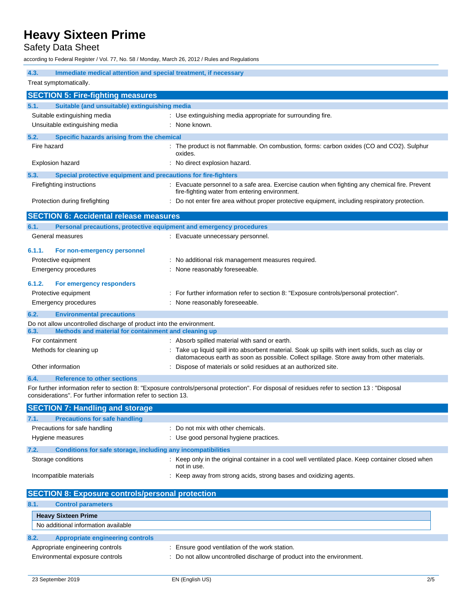Safety Data Sheet

according to Federal Register / Vol. 77, No. 58 / Monday, March 26, 2012 / Rules and Regulations

**4.3. Immediate medical attention and special treatment, if necessary** Treat symptomatically. **SECTION 5: Fire-fighting measures 5.1. Suitable (and unsuitable) extinguishing media** Suitable extinguishing media  $\qquad \qquad : \qquad$  Use extinguishing media appropriate for surrounding fire. Unsuitable extinguishing media : None known. **5.2. Specific hazards arising from the chemical** Fire hazard **interproduct is not flammable.** On combustion, forms: carbon oxides (CO and CO2). Sulphur oxides. Explosion hazard **Explosion hazard** : No direct explosion hazard. **5.3. Special protective equipment and precautions for fire-fighters** Firefighting instructions **included in the Contract Contract Contract** Exercise caution when fighting any chemical fire. Prevent fire-fighting water from entering environment. Protection during firefighting : Do not enter fire area without proper protective equipment, including respiratory protection. **SECTION 6: Accidental release measures 6.1. Personal precautions, protective equipment and emergency procedures** General measures **in the case of the Contract Contract Contract Contract Contract Contract Contract Contract Contract Contract Contract Contract Contract Contract Contract Contract Contract Contract Contract Contract Contr 6.1.1. For non-emergency personnel** Protective equipment **interval and the Constant Constant Constant Constant Constant Constant Constant Constant Constant Constant Constant Constant Constant Constant Constant Constant Constant Constant Constant Constant Con** Emergency procedures **Emergency** procedures : None reasonably foreseeable. **6.1.2. For emergency responders** Protective equipment : For further information refer to section 8: "Exposure controls/personal protection". Emergency procedures **in the contract of the Cone of the Cone of the Cone of the Cone of the Cone of the Cone of the Cone of the Cone of the Cone of the Cone of the Cone of the Cone of the Cone of the Cone of the Cone of t 6.2. Environmental precautions** Do not allow uncontrolled discharge of product into the environment.<br>6.3. Methods and material for containment and cleaning up **6.3. Methods and material for containment and cleaning up** For containment **intervalse and the containment** : Absorb spilled material with sand or earth. Methods for cleaning up example of the up liquid spill into absorbent material. Soak up spills with inert solids, such as clay or diatomaceous earth as soon as possible. Collect spillage. Store away from other materials. Other information example of materials or solid residues at an authorized site. **6.4. Reference to other sections** For further information refer to section 8: "Exposure controls/personal protection". For disposal of residues refer to section 13 : "Disposal considerations". For further information refer to section 13. **SECTION 7: Handling and storage 7.1. Precautions for safe handling**

| 7.1.<br><b>Precautions for safe handling</b>                         |                                                                                                                  |
|----------------------------------------------------------------------|------------------------------------------------------------------------------------------------------------------|
| Precautions for safe handling                                        | : Do not mix with other chemicals.                                                                               |
| Hygiene measures                                                     | : Use good personal hygiene practices.                                                                           |
| Conditions for safe storage, including any incompatibilities<br>7.2. |                                                                                                                  |
| Storage conditions                                                   | : Keep only in the original container in a cool well ventilated place. Keep container closed when<br>not in use. |
| Incompatible materials                                               | Keep away from strong acids, strong bases and oxidizing agents.                                                  |

| <b>SECTION 8: Exposure controls/personal protection</b>             |                                                                                                                          |
|---------------------------------------------------------------------|--------------------------------------------------------------------------------------------------------------------------|
| 8.1.<br><b>Control parameters</b>                                   |                                                                                                                          |
| <b>Heavy Sixteen Prime</b>                                          |                                                                                                                          |
| No additional information available                                 |                                                                                                                          |
| 8.2.<br>Appropriate engineering controls                            |                                                                                                                          |
| Appropriate engineering controls<br>Environmental exposure controls | : Ensure good ventilation of the work station.<br>: Do not allow uncontrolled discharge of product into the environment. |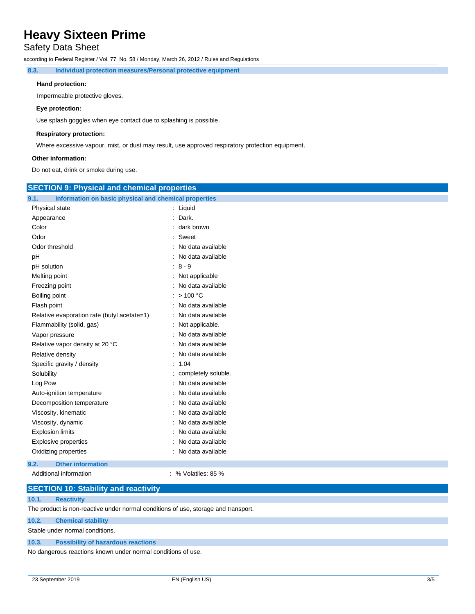## Safety Data Sheet

according to Federal Register / Vol. 77, No. 58 / Monday, March 26, 2012 / Rules and Regulations

**8.3. Individual protection measures/Personal protective equipment**

#### **Hand protection:**

Impermeable protective gloves.

### **Eye protection:**

Use splash goggles when eye contact due to splashing is possible.

#### **Respiratory protection:**

Where excessive vapour, mist, or dust may result, use approved respiratory protection equipment.

#### **Other information:**

Do not eat, drink or smoke during use.

|                                                               | <b>SECTION 9: Physical and chemical properties</b> |  |  |
|---------------------------------------------------------------|----------------------------------------------------|--|--|
| Information on basic physical and chemical properties<br>9.1. |                                                    |  |  |
| Physical state                                                | : Liquid                                           |  |  |
| Appearance                                                    | Dark.                                              |  |  |
| Color                                                         | dark brown                                         |  |  |
| Odor                                                          | Sweet<br>۰                                         |  |  |
| Odor threshold                                                | No data available                                  |  |  |
| pH                                                            | No data available                                  |  |  |
| pH solution                                                   | $8 - 9$                                            |  |  |
| Melting point                                                 | Not applicable                                     |  |  |
| Freezing point                                                | No data available                                  |  |  |
| Boiling point                                                 | : $> 100 °C$                                       |  |  |
| Flash point                                                   | : No data available                                |  |  |
| Relative evaporation rate (butyl acetate=1)                   | : No data available                                |  |  |
| Flammability (solid, gas)                                     | Not applicable.                                    |  |  |
| Vapor pressure                                                | No data available                                  |  |  |
| Relative vapor density at 20 °C                               | No data available                                  |  |  |
| Relative density                                              | No data available                                  |  |  |
| Specific gravity / density                                    | 1.04                                               |  |  |
| Solubility                                                    | completely soluble.                                |  |  |
| Log Pow                                                       | No data available                                  |  |  |
| Auto-ignition temperature                                     | No data available                                  |  |  |
| Decomposition temperature                                     | No data available                                  |  |  |
| Viscosity, kinematic                                          | No data available                                  |  |  |
| Viscosity, dynamic                                            | No data available                                  |  |  |
| <b>Explosion limits</b>                                       | No data available                                  |  |  |
| Explosive properties                                          | No data available                                  |  |  |
| Oxidizing properties                                          | : No data available                                |  |  |
| <b>Other information</b><br>9.2.                              |                                                    |  |  |
| Additional information                                        | : % Volatiles: $85\%$                              |  |  |

### **SECTION 10: Stability and reactivity**

#### **10.1. Reactivity**

The product is non-reactive under normal conditions of use, storage and transport.

### **10.2. Chemical stability**

Stable under normal conditions.

#### **10.3. Possibility of hazardous reactions**

No dangerous reactions known under normal conditions of use.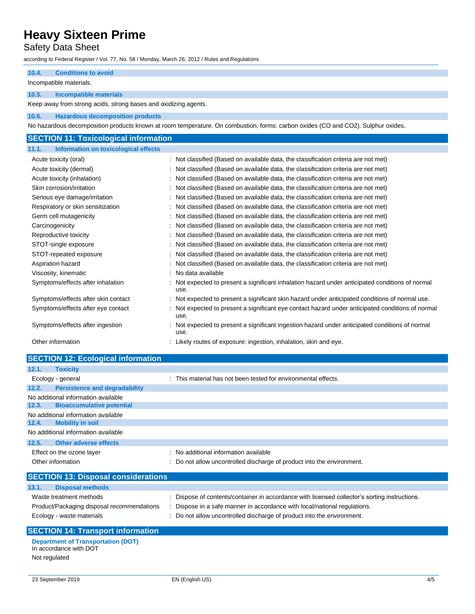## Safety Data Sheet

according to Federal Register / Vol. 77, No. 58 / Monday, March 26, 2012 / Rules and Regulations

### **10.4. Conditions to avoid**

Incompatible materials.

#### **10.5. Incompatible materials**

Keep away from strong acids, strong bases and oxidizing agents.

#### **10.6. Hazardous decomposition products**

No hazardous decomposition products known at room temperature. On combustion, forms: carbon oxides (CO and CO2). Sulphur oxides.

### **SECTION 11: Toxicological information 11.1. Information on toxicological effects**

| Acute toxicity (oral)               | : Not classified (Based on available data, the classification criteria are not met)                     |
|-------------------------------------|---------------------------------------------------------------------------------------------------------|
| Acute toxicity (dermal)             | Not classified (Based on available data, the classification criteria are not met)                       |
| Acute toxicity (inhalation)         | Not classified (Based on available data, the classification criteria are not met)                       |
| Skin corrosion/irritation           | Not classified (Based on available data, the classification criteria are not met)                       |
| Serious eye damage/irritation       | Not classified (Based on available data, the classification criteria are not met)                       |
| Respiratory or skin sensitization   | Not classified (Based on available data, the classification criteria are not met)                       |
| Germ cell mutagenicity              | Not classified (Based on available data, the classification criteria are not met)                       |
| Carcinogenicity                     | Not classified (Based on available data, the classification criteria are not met)                       |
| Reproductive toxicity               | Not classified (Based on available data, the classification criteria are not met)                       |
| STOT-single exposure                | : Not classified (Based on available data, the classification criteria are not met)                     |
| STOT-repeated exposure              | : Not classified (Based on available data, the classification criteria are not met)                     |
| Aspiration hazard                   | Not classified (Based on available data, the classification criteria are not met)                       |
| Viscosity, kinematic                | : No data available                                                                                     |
| Symptoms/effects after inhalation   | Not expected to present a significant inhalation hazard under anticipated conditions of normal<br>use.  |
| Symptoms/effects after skin contact | Not expected to present a significant skin hazard under anticipated conditions of normal use.           |
| Symptoms/effects after eye contact  | Not expected to present a significant eye contact hazard under anticipated conditions of normal<br>use. |
| Symptoms/effects after ingestion    | Not expected to present a significant ingestion hazard under anticipated conditions of normal<br>use.   |
| Other information                   | Likely routes of exposure: ingestion, inhalation, skin and eye.                                         |

|       | <b>SECTION 12: Ecological information</b>  |                                                                        |
|-------|--------------------------------------------|------------------------------------------------------------------------|
| 12.1. | <b>Toxicity</b>                            |                                                                        |
|       | Ecology - general                          | : This material has not been tested for environmental effects.         |
| 12.2. | <b>Persistence and degradability</b>       |                                                                        |
|       | No additional information available        |                                                                        |
| 12.3. | <b>Bioaccumulative potential</b>           |                                                                        |
|       | No additional information available        |                                                                        |
| 12.4. | <b>Mobility in soil</b>                    |                                                                        |
|       | No additional information available        |                                                                        |
| 12.5. | <b>Other adverse effects</b>               |                                                                        |
|       | Effect on the ozone layer                  | : No additional information available                                  |
|       | Other information                          | : Do not allow uncontrolled discharge of product into the environment. |
|       | <b>SECTION 13: Disposal considerations</b> |                                                                        |
|       | 13.1. Disposal methods                     |                                                                        |

| 10.1. | <b>Disposal Illetricus</b> |
|-------|----------------------------|
|       |                            |

Waste treatment methods : Dispose of contents/container in accordance with licensed collector's sorting instructions.

- Product/Packaging disposal recommendations : Dispose in a safe manner in accordance with local/national regulations.
- Ecology waste materials **interval of the controlled** discharge of product into the environment.

## **SECTION 14: Transport information**

**Department of Transportation (DOT)** In accordance with DOT Not regulated